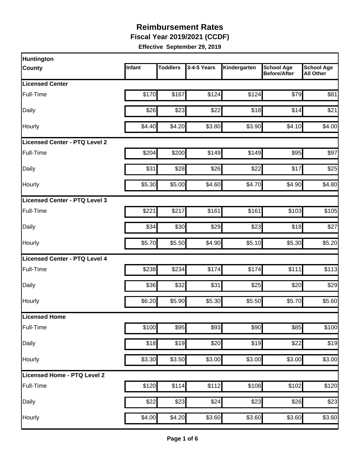**Fiscal Year 2019/2021 (CCDF)**

| Huntington                    |        |                 |             |              |                                          |                                       |
|-------------------------------|--------|-----------------|-------------|--------------|------------------------------------------|---------------------------------------|
| <b>County</b>                 | Infant | <b>Toddlers</b> | 3-4-5 Years | Kindergarten | <b>School Age</b><br><b>Before/After</b> | <b>School Age</b><br><b>All Other</b> |
| <b>Licensed Center</b>        |        |                 |             |              |                                          |                                       |
| Full-Time                     | \$170  | \$167           | \$124       | \$124        | \$79                                     | \$81                                  |
| Daily                         | \$26   | \$23            | \$22        | \$18         | \$14                                     | \$21                                  |
| Hourly                        | \$4.40 | \$4.20          | \$3.80      | \$3.90       | \$4.10                                   | \$4.00                                |
| Licensed Center - PTQ Level 2 |        |                 |             |              |                                          |                                       |
| Full-Time                     | \$204  | \$200           | \$149       | \$149        | \$95                                     | \$97                                  |
| Daily                         | \$31   | \$28            | \$26        | \$22         | \$17                                     | \$25                                  |
| Hourly                        | \$5.30 | \$5.00          | \$4.60      | \$4.70       | \$4.90                                   | \$4.80                                |
| Licensed Center - PTQ Level 3 |        |                 |             |              |                                          |                                       |
| Full-Time                     | \$221  | \$217           | \$161       | \$161        | \$103                                    | \$105                                 |
| Daily                         | \$34   | \$30            | \$29        | \$23         | \$18                                     | \$27                                  |
| Hourly                        | \$5.70 | \$5.50          | \$4.90      | \$5.10       | \$5.30                                   | \$5.20                                |
| Licensed Center - PTQ Level 4 |        |                 |             |              |                                          |                                       |
| Full-Time                     | \$238  | \$234           | \$174       | \$174        | \$111                                    | \$113                                 |
| Daily                         | \$36   | \$32            | \$31        | \$25         | \$20                                     | \$29                                  |
| Hourly                        | \$6.20 | \$5.90          | \$5.30      | \$5.50       | \$5.70                                   | \$5.60                                |
| Licensed Home                 |        |                 |             |              |                                          |                                       |
| Full-Time                     | \$100  | \$95            | \$93        | \$90         | \$85                                     | \$100                                 |
| Daily                         | \$18   | \$19            | \$20        | \$19         | \$22                                     | \$19                                  |
| Hourly                        | \$3.30 | \$3.50          | \$3.00      | \$3.00       | \$3.00                                   | \$3.00                                |
| Licensed Home - PTQ Level 2   |        |                 |             |              |                                          |                                       |
| Full-Time                     | \$120  | \$114           | \$112       | \$108        | \$102                                    | \$120                                 |
| Daily                         | \$22   | \$23            | \$24        | \$23         | \$26                                     | \$23                                  |
| Hourly                        | \$4.00 | \$4.20          | \$3.60      | \$3.60       | \$3.60                                   | \$3.60                                |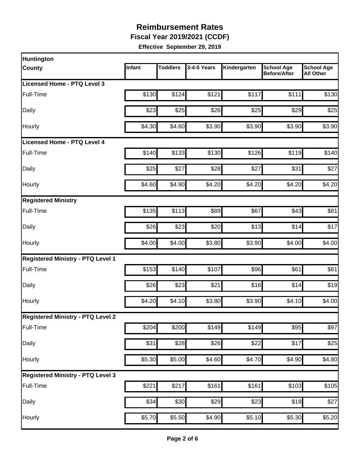**Fiscal Year 2019/2021 (CCDF)**

| Huntington                               |        |                 |                  |                    |                                          |                                       |
|------------------------------------------|--------|-----------------|------------------|--------------------|------------------------------------------|---------------------------------------|
| <b>County</b>                            | Infant | <b>Toddlers</b> | 3-4-5 Years      | Kindergarten       | <b>School Age</b><br><b>Before/After</b> | <b>School Age</b><br><b>All Other</b> |
| Licensed Home - PTQ Level 3              |        |                 |                  |                    |                                          |                                       |
| Full-Time                                | \$130  | \$124           | \$121            | \$117              | \$111                                    | \$130                                 |
| Daily                                    | \$23   | \$25            | \$26             | \$25               | \$29                                     | \$25                                  |
| Hourly                                   | \$4.30 | \$4.60          | \$3.90           | \$3.90             | \$3.90                                   | \$3.90                                |
| Licensed Home - PTQ Level 4              |        |                 |                  |                    |                                          |                                       |
| Full-Time                                | \$140  | \$133           | \$130            | \$126              | \$119                                    | \$140                                 |
| Daily                                    | \$25   | \$27            | \$28             | \$27               | \$31                                     | \$27                                  |
| Hourly                                   | \$4.60 | \$4.90          | \$4.20           | \$4.20             | \$4.20                                   | \$4.20                                |
| <b>Registered Ministry</b>               |        |                 |                  |                    |                                          |                                       |
| Full-Time                                | \$135  | \$113           | \$89             | \$67               | \$43                                     | \$81                                  |
| Daily                                    | \$26   | \$23            | \$20             | \$13               | \$14                                     | \$17                                  |
| Hourly                                   | \$4.00 | \$4.00          | \$3.80           | \$3.90             | \$4.00                                   | \$4.00                                |
| <b>Registered Ministry - PTQ Level 1</b> |        |                 |                  |                    |                                          |                                       |
| Full-Time                                | \$153  | \$140           | \$107            | \$96               | \$61                                     | \$81                                  |
| Daily                                    | \$26   | \$23            | \$21             | \$16               | \$14                                     | \$19                                  |
| Hourly                                   | \$4.20 | \$4.10          | \$3.80           | \$3.90             | \$4.10                                   | \$4.00                                |
| <b>Registered Ministry - PTQ Level 2</b> |        |                 |                  |                    |                                          |                                       |
| Full-Time                                | \$204  | \$200           | \$149            | \$149              | \$95                                     | \$97                                  |
| Daily                                    | \$31   | \$28            | $\overline{$}26$ | \$22               | \$17                                     | \$25                                  |
| Hourly                                   | \$5.30 | \$5.00          | \$4.60           | \$4.70             | \$4.90                                   | \$4.80                                |
| <b>Registered Ministry - PTQ Level 3</b> |        |                 |                  |                    |                                          |                                       |
| Full-Time                                | \$221  | \$217           | \$161            | \$161              | \$103                                    | \$105                                 |
| Daily                                    | \$34   | \$30            | $\overline{$}29$ | \$23               | \$18                                     | \$27                                  |
| Hourly                                   | \$5.70 | \$5.50          | \$4.90           | $\overline{$5.10}$ | \$5.30                                   | \$5.20                                |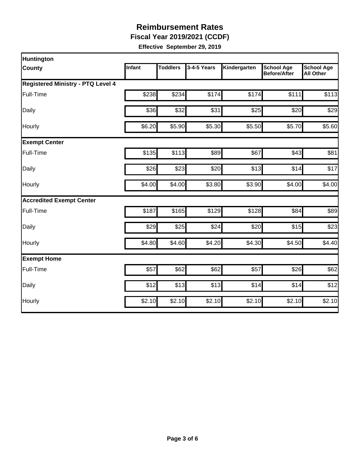**Fiscal Year 2019/2021 (CCDF)**

| Huntington                               |        |                 |             |              |                                          |                                       |
|------------------------------------------|--------|-----------------|-------------|--------------|------------------------------------------|---------------------------------------|
| <b>County</b>                            | Infant | <b>Toddlers</b> | 3-4-5 Years | Kindergarten | <b>School Age</b><br><b>Before/After</b> | <b>School Age</b><br><b>All Other</b> |
| <b>Registered Ministry - PTQ Level 4</b> |        |                 |             |              |                                          |                                       |
| Full-Time                                | \$238  | \$234           | \$174       | \$174        | \$111                                    | \$113                                 |
| Daily                                    | \$36   | \$32            | \$31        | \$25         | \$20                                     | \$29                                  |
| Hourly                                   | \$6.20 | \$5.90          | \$5.30      | \$5.50       | \$5.70                                   | \$5.60                                |
| <b>Exempt Center</b>                     |        |                 |             |              |                                          |                                       |
| Full-Time                                | \$135  | \$113           | \$89        | \$67         | \$43                                     | \$81                                  |
| Daily                                    | \$26   | \$23            | \$20        | \$13         | \$14                                     | \$17                                  |
| Hourly                                   | \$4.00 | \$4.00          | \$3.80      | \$3.90       | \$4.00                                   | \$4.00                                |
| <b>Accredited Exempt Center</b>          |        |                 |             |              |                                          |                                       |
| Full-Time                                | \$187  | \$165           | \$129       | \$128        | \$84                                     | \$89                                  |
| Daily                                    | \$29   | \$25            | \$24        | \$20         | \$15                                     | \$23                                  |
| Hourly                                   | \$4.80 | \$4.60          | \$4.20      | \$4.30       | \$4.50                                   | \$4.40                                |
| <b>Exempt Home</b>                       |        |                 |             |              |                                          |                                       |
| Full-Time                                | \$57   | \$62            | \$62        | \$57         | \$26                                     | \$62                                  |
| Daily                                    | \$12   | \$13            | \$13        | \$14         | \$14                                     | \$12                                  |
| Hourly                                   | \$2.10 | \$2.10          | \$2.10      | \$2.10       | \$2.10                                   | \$2.10                                |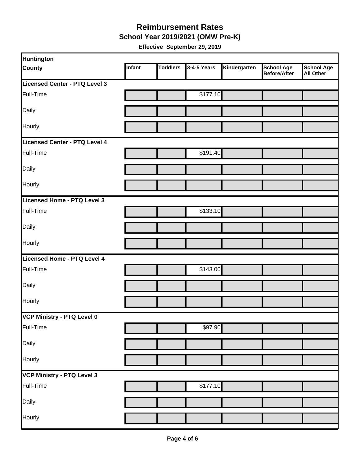#### **School Year 2019/2021 (OMW Pre-K) Reimbursement Rates**

| Huntington                    |        |                 |             |              |                                          |                                       |
|-------------------------------|--------|-----------------|-------------|--------------|------------------------------------------|---------------------------------------|
| <b>County</b>                 | Infant | <b>Toddlers</b> | 3-4-5 Years | Kindergarten | <b>School Age</b><br><b>Before/After</b> | <b>School Age</b><br><b>All Other</b> |
| Licensed Center - PTQ Level 3 |        |                 |             |              |                                          |                                       |
| Full-Time                     |        |                 | \$177.10    |              |                                          |                                       |
| Daily                         |        |                 |             |              |                                          |                                       |
| Hourly                        |        |                 |             |              |                                          |                                       |
| Licensed Center - PTQ Level 4 |        |                 |             |              |                                          |                                       |
| Full-Time                     |        |                 | \$191.40    |              |                                          |                                       |
| Daily                         |        |                 |             |              |                                          |                                       |
| <b>Hourly</b>                 |        |                 |             |              |                                          |                                       |
| Licensed Home - PTQ Level 3   |        |                 |             |              |                                          |                                       |
| Full-Time                     |        |                 | \$133.10    |              |                                          |                                       |
| Daily                         |        |                 |             |              |                                          |                                       |
| <b>Hourly</b>                 |        |                 |             |              |                                          |                                       |
| Licensed Home - PTQ Level 4   |        |                 |             |              |                                          |                                       |
| Full-Time                     |        |                 | \$143.00    |              |                                          |                                       |
| Daily                         |        |                 |             |              |                                          |                                       |
| Hourly                        |        |                 |             |              |                                          |                                       |
| VCP Ministry - PTQ Level 0    |        |                 |             |              |                                          |                                       |
| Full-Time                     |        |                 | \$97.90     |              |                                          |                                       |
| Daily                         |        |                 |             |              |                                          |                                       |
| Hourly                        |        |                 |             |              |                                          |                                       |
| VCP Ministry - PTQ Level 3    |        |                 |             |              |                                          |                                       |
| Full-Time                     |        |                 | \$177.10    |              |                                          |                                       |
| Daily                         |        |                 |             |              |                                          |                                       |
| Hourly                        |        |                 |             |              |                                          |                                       |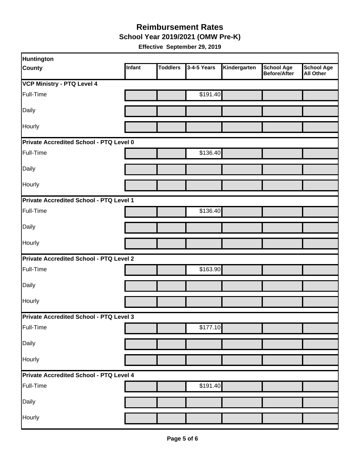**School Year 2019/2021 (OMW Pre-K)**

| <b>Huntington</b>                              |        |                 |             |              |                                          |                                       |  |  |
|------------------------------------------------|--------|-----------------|-------------|--------------|------------------------------------------|---------------------------------------|--|--|
| <b>County</b>                                  | Infant | <b>Toddlers</b> | 3-4-5 Years | Kindergarten | <b>School Age</b><br><b>Before/After</b> | <b>School Age</b><br><b>All Other</b> |  |  |
| <b>VCP Ministry - PTQ Level 4</b>              |        |                 |             |              |                                          |                                       |  |  |
| Full-Time                                      |        |                 | \$191.40    |              |                                          |                                       |  |  |
| Daily                                          |        |                 |             |              |                                          |                                       |  |  |
| Hourly                                         |        |                 |             |              |                                          |                                       |  |  |
| <b>Private Accredited School - PTQ Level 0</b> |        |                 |             |              |                                          |                                       |  |  |
| Full-Time                                      |        |                 | \$136.40    |              |                                          |                                       |  |  |
| Daily                                          |        |                 |             |              |                                          |                                       |  |  |
| Hourly                                         |        |                 |             |              |                                          |                                       |  |  |
| Private Accredited School - PTQ Level 1        |        |                 |             |              |                                          |                                       |  |  |
| Full-Time                                      |        |                 | \$136.40    |              |                                          |                                       |  |  |
| Daily                                          |        |                 |             |              |                                          |                                       |  |  |
| Hourly                                         |        |                 |             |              |                                          |                                       |  |  |
| <b>Private Accredited School - PTQ Level 2</b> |        |                 |             |              |                                          |                                       |  |  |
| Full-Time                                      |        |                 | \$163.90    |              |                                          |                                       |  |  |
| Daily                                          |        |                 |             |              |                                          |                                       |  |  |
| Hourly                                         |        |                 |             |              |                                          |                                       |  |  |
| <b>Private Accredited School - PTQ Level 3</b> |        |                 |             |              |                                          |                                       |  |  |
| Full-Time                                      |        |                 | \$177.10    |              |                                          |                                       |  |  |
| Daily                                          |        |                 |             |              |                                          |                                       |  |  |
| Hourly                                         |        |                 |             |              |                                          |                                       |  |  |
| Private Accredited School - PTQ Level 4        |        |                 |             |              |                                          |                                       |  |  |
| Full-Time                                      |        |                 | \$191.40    |              |                                          |                                       |  |  |
| Daily                                          |        |                 |             |              |                                          |                                       |  |  |
| Hourly                                         |        |                 |             |              |                                          |                                       |  |  |